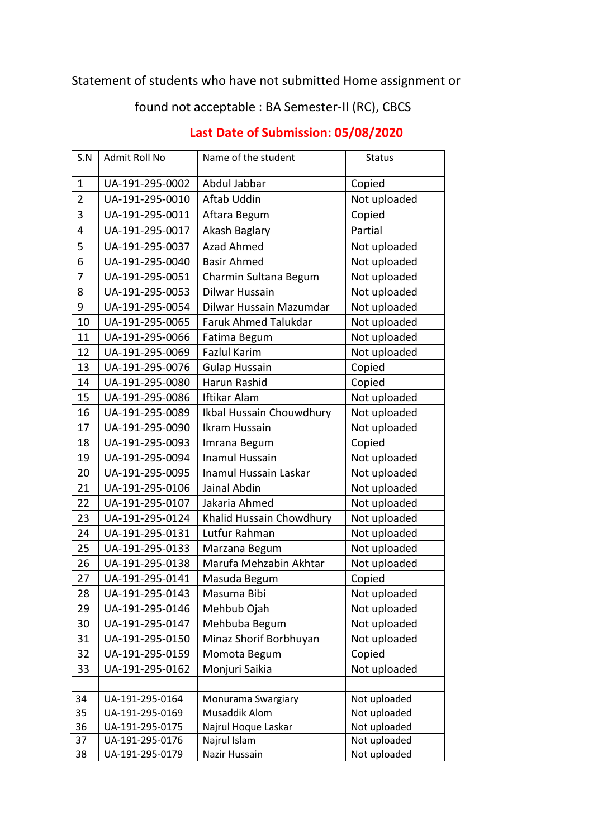## Statement of students who have not submitted Home assignment or

## found not acceptable : BA Semester-II (RC), CBCS

| S.N            | Admit Roll No   | Name of the student         | <b>Status</b> |
|----------------|-----------------|-----------------------------|---------------|
| $\mathbf{1}$   | UA-191-295-0002 | Abdul Jabbar                | Copied        |
| $\overline{2}$ | UA-191-295-0010 | Aftab Uddin                 | Not uploaded  |
| 3              | UA-191-295-0011 | Aftara Begum                | Copied        |
| 4              | UA-191-295-0017 | Akash Baglary               | Partial       |
| 5              | UA-191-295-0037 | <b>Azad Ahmed</b>           | Not uploaded  |
| 6              | UA-191-295-0040 | <b>Basir Ahmed</b>          | Not uploaded  |
| 7              | UA-191-295-0051 | Charmin Sultana Begum       | Not uploaded  |
| 8              | UA-191-295-0053 | Dilwar Hussain              | Not uploaded  |
| 9              | UA-191-295-0054 | Dilwar Hussain Mazumdar     | Not uploaded  |
| 10             | UA-191-295-0065 | <b>Faruk Ahmed Talukdar</b> | Not uploaded  |
| 11             | UA-191-295-0066 | Fatima Begum                | Not uploaded  |
| 12             | UA-191-295-0069 | <b>Fazlul Karim</b>         | Not uploaded  |
| 13             | UA-191-295-0076 | <b>Gulap Hussain</b>        | Copied        |
| 14             | UA-191-295-0080 | Harun Rashid                | Copied        |
| 15             | UA-191-295-0086 | <b>Iftikar Alam</b>         | Not uploaded  |
| 16             | UA-191-295-0089 | Ikbal Hussain Chouwdhury    | Not uploaded  |
| 17             | UA-191-295-0090 | Ikram Hussain               | Not uploaded  |
| 18             | UA-191-295-0093 | Imrana Begum                | Copied        |
| 19             | UA-191-295-0094 | <b>Inamul Hussain</b>       | Not uploaded  |
| 20             | UA-191-295-0095 | Inamul Hussain Laskar       | Not uploaded  |
| 21             | UA-191-295-0106 | Jainal Abdin                | Not uploaded  |
| 22             | UA-191-295-0107 | Jakaria Ahmed               | Not uploaded  |
| 23             | UA-191-295-0124 | Khalid Hussain Chowdhury    | Not uploaded  |
| 24             | UA-191-295-0131 | Lutfur Rahman               | Not uploaded  |
| 25             | UA-191-295-0133 | Marzana Begum               | Not uploaded  |
| 26             | UA-191-295-0138 | Marufa Mehzabin Akhtar      | Not uploaded  |
| 27             | UA-191-295-0141 | Masuda Begum                | Copied        |
| 28             | UA-191-295-0143 | Masuma Bibi                 | Not uploaded  |
| 29             | UA-191-295-0146 | Mehbub Ojah                 | Not uploaded  |
| 30             | UA-191-295-0147 | Mehbuba Begum               | Not uploaded  |
| 31             | UA-191-295-0150 | Minaz Shorif Borbhuyan      | Not uploaded  |
| 32             | UA-191-295-0159 | Momota Begum                | Copied        |
| 33             | UA-191-295-0162 | Monjuri Saikia              | Not uploaded  |
|                |                 |                             |               |
| 34             | UA-191-295-0164 | Monurama Swargiary          | Not uploaded  |
| 35             | UA-191-295-0169 | Musaddik Alom               | Not uploaded  |
| 36             | UA-191-295-0175 | Najrul Hoque Laskar         | Not uploaded  |
| 37             | UA-191-295-0176 | Najrul Islam                | Not uploaded  |
| 38             | UA-191-295-0179 | Nazir Hussain               | Not uploaded  |

## **Last Date of Submission: 05/08/2020**